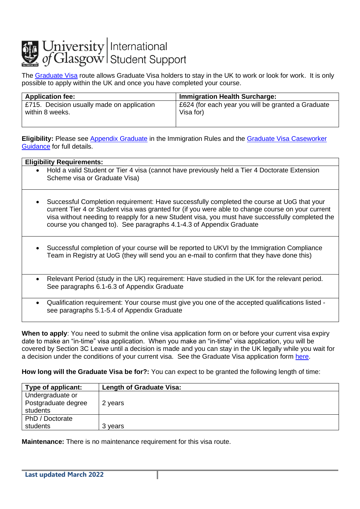## **Julian University** International<br>
of Glasgow Student Support

The [Graduate Visa](https://www.gov.uk/graduate-visa) route allows Graduate Visa holders to stay in the UK to work or look for work. It is only possible to apply within the UK and once you have completed your course.

| <b>Application fee:</b>                    | <b>Immigration Health Surcharge:</b>               |
|--------------------------------------------|----------------------------------------------------|
| E715. Decision usually made on application | £624 (for each year you will be granted a Graduate |
| within 8 weeks.                            | Visa for)                                          |
|                                            |                                                    |

**Eligibility:** Please see [Appendix Graduate](https://www.gov.uk/guidance/immigration-rules/immigration-rules-appendix-graduate) in the Immigration Rules and the [Graduate Visa Caseworker](https://www.gov.uk/government/publications/graduate-caseworker-guidance)  [Guidance](https://www.gov.uk/government/publications/graduate-caseworker-guidance) for full details.

| <b>Eligibility Requirements:</b>                                                                                                                                                                                                                                                                                                                                                        |  |
|-----------------------------------------------------------------------------------------------------------------------------------------------------------------------------------------------------------------------------------------------------------------------------------------------------------------------------------------------------------------------------------------|--|
| Hold a valid Student or Tier 4 visa (cannot have previously held a Tier 4 Doctorate Extension<br>$\bullet$<br>Scheme visa or Graduate Visa)                                                                                                                                                                                                                                             |  |
| Successful Completion requirement: Have successfully completed the course at UoG that your<br>$\bullet$<br>current Tier 4 or Student visa was granted for (if you were able to change course on your current<br>visa without needing to reapply for a new Student visa, you must have successfully completed the<br>course you changed to). See paragraphs 4.1-4.3 of Appendix Graduate |  |
| Successful completion of your course will be reported to UKVI by the Immigration Compliance<br>$\bullet$<br>Team in Registry at UoG (they will send you an e-mail to confirm that they have done this)                                                                                                                                                                                  |  |
| Relevant Period (study in the UK) requirement: Have studied in the UK for the relevant period.<br>$\bullet$<br>See paragraphs 6.1-6.3 of Appendix Graduate                                                                                                                                                                                                                              |  |
| Qualification requirement: Your course must give you one of the accepted qualifications listed -<br>$\bullet$<br>see paragraphs 5.1-5.4 of Appendix Graduate                                                                                                                                                                                                                            |  |

**When to apply**: You need to submit the online visa application form on or before your current visa expiry date to make an "in-time" visa application. When you make an "in-time" visa application, you will be covered by Section 3C Leave until a decision is made and you can stay in the UK legally while you wait for a decision under the conditions of your current visa. See the Graduate Visa application form [here.](https://www.gov.uk/graduate-visa/apply)

**How long will the Graduate Visa be for?:** You can expect to be granted the following length of time:

| Type of applicant:  | <b>Length of Graduate Visa:</b> |
|---------------------|---------------------------------|
| Undergraduate or    |                                 |
| Postgraduate degree | 2 years                         |
| students            |                                 |
| PhD / Doctorate     |                                 |
| students            | 3 years                         |

**Maintenance:** There is no maintenance requirement for this visa route.